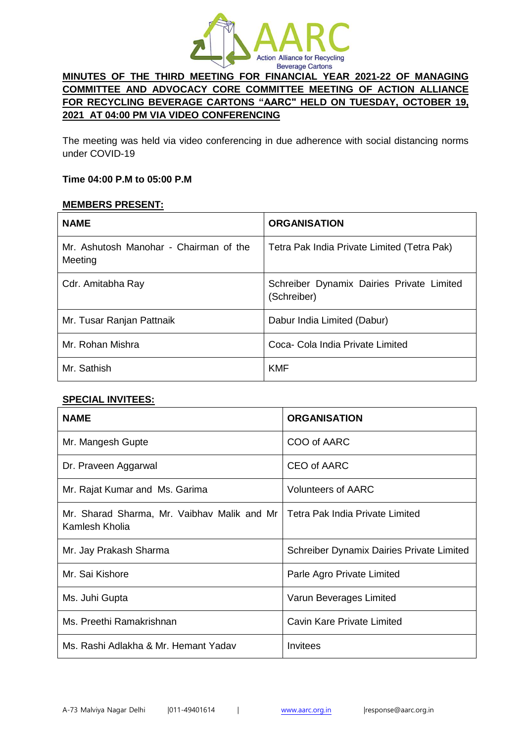

# **MINUTES OF THE THIRD MEETING FOR FINANCIAL YEAR 2021-22 OF MANAGING COMMITTEE AND ADVOCACY CORE COMMITTEE MEETING OF ACTION ALLIANCE FOR RECYCLING BEVERAGE CARTONS "AARC" HELD ON TUESDAY, OCTOBER 19, 2021 AT 04:00 PM VIA VIDEO CONFERENCING**

The meeting was held via video conferencing in due adherence with social distancing norms under COVID-19

#### **Time 04:00 P.M to 05:00 P.M**

### **MEMBERS PRESENT:**

| <b>NAME</b>                                       | <b>ORGANISATION</b>                                      |
|---------------------------------------------------|----------------------------------------------------------|
| Mr. Ashutosh Manohar - Chairman of the<br>Meeting | Tetra Pak India Private Limited (Tetra Pak)              |
| Cdr. Amitabha Ray                                 | Schreiber Dynamix Dairies Private Limited<br>(Schreiber) |
| Mr. Tusar Ranjan Pattnaik                         | Dabur India Limited (Dabur)                              |
| Mr. Rohan Mishra                                  | Coca- Cola India Private Limited                         |
| Mr. Sathish                                       | <b>KMF</b>                                               |

#### **SPECIAL INVITEES:**

| <b>NAME</b>                                                   | <b>ORGANISATION</b>                              |
|---------------------------------------------------------------|--------------------------------------------------|
| Mr. Mangesh Gupte                                             | COO of AARC                                      |
| Dr. Praveen Aggarwal                                          | CEO of AARC                                      |
| Mr. Rajat Kumar and Ms. Garima                                | Volunteers of AARC                               |
| Mr. Sharad Sharma, Mr. Vaibhav Malik and Mr<br>Kamlesh Kholia | Tetra Pak India Private Limited                  |
| Mr. Jay Prakash Sharma                                        | <b>Schreiber Dynamix Dairies Private Limited</b> |
| Mr. Sai Kishore                                               | Parle Agro Private Limited                       |
| Ms. Juhi Gupta                                                | Varun Beverages Limited                          |
| Ms. Preethi Ramakrishnan                                      | Cavin Kare Private Limited                       |
| Ms. Rashi Adlakha & Mr. Hemant Yadav                          | Invitees                                         |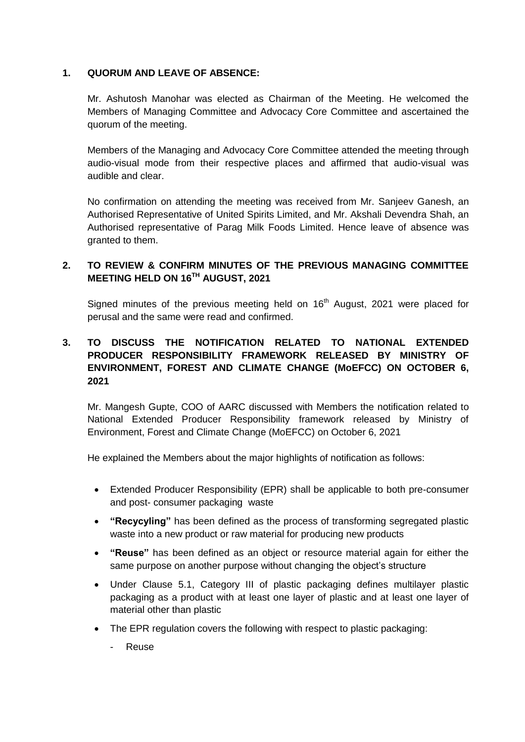### **1. QUORUM AND LEAVE OF ABSENCE:**

Mr. Ashutosh Manohar was elected as Chairman of the Meeting. He welcomed the Members of Managing Committee and Advocacy Core Committee and ascertained the quorum of the meeting.

Members of the Managing and Advocacy Core Committee attended the meeting through audio-visual mode from their respective places and affirmed that audio-visual was audible and clear.

No confirmation on attending the meeting was received from Mr. Sanjeev Ganesh, an Authorised Representative of United Spirits Limited, and Mr. Akshali Devendra Shah, an Authorised representative of Parag Milk Foods Limited. Hence leave of absence was granted to them.

## **2. TO REVIEW & CONFIRM MINUTES OF THE PREVIOUS MANAGING COMMITTEE MEETING HELD ON 16TH AUGUST, 2021**

Signed minutes of the previous meeting held on 16<sup>th</sup> August, 2021 were placed for perusal and the same were read and confirmed.

# **3. TO DISCUSS THE NOTIFICATION RELATED TO NATIONAL EXTENDED PRODUCER RESPONSIBILITY FRAMEWORK RELEASED BY MINISTRY OF ENVIRONMENT, FOREST AND CLIMATE CHANGE (MoEFCC) ON OCTOBER 6, 2021**

Mr. Mangesh Gupte, COO of AARC discussed with Members the notification related to National Extended Producer Responsibility framework released by Ministry of Environment, Forest and Climate Change (MoEFCC) on October 6, 2021

He explained the Members about the major highlights of notification as follows:

- Extended Producer Responsibility (EPR) shall be applicable to both pre-consumer and post- consumer packaging waste
- **"Recycyling"** has been defined as the process of transforming segregated plastic waste into a new product or raw material for producing new products
- **"Reuse"** has been defined as an object or resource material again for either the same purpose on another purpose without changing the object's structure
- Under Clause 5.1, Category III of plastic packaging defines multilayer plastic packaging as a product with at least one layer of plastic and at least one layer of material other than plastic
- The EPR regulation covers the following with respect to plastic packaging:
	- Reuse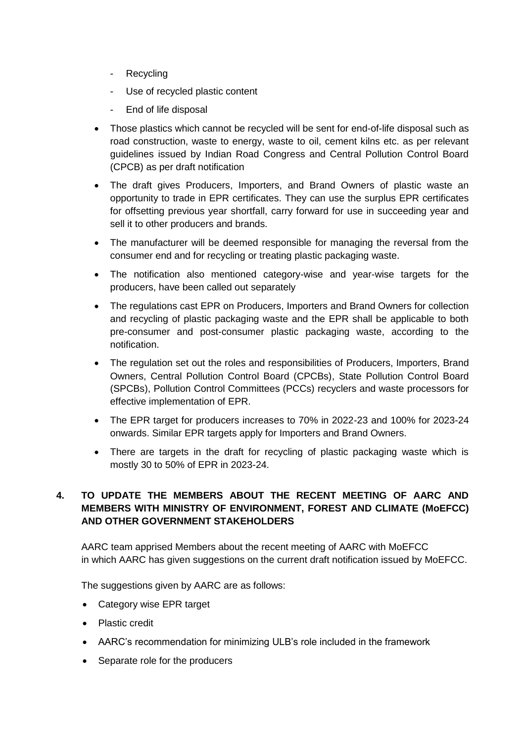- Recycling
- Use of recycled plastic content
- End of life disposal
- Those plastics which cannot be recycled will be sent for end-of-life disposal such as road construction, waste to energy, waste to oil, cement kilns etc. as per relevant guidelines issued by Indian Road Congress and Central Pollution Control Board (CPCB) as per draft notification
- The draft gives Producers, Importers, and Brand Owners of plastic waste an opportunity to trade in EPR certificates. They can use the surplus EPR certificates for offsetting previous year shortfall, carry forward for use in succeeding year and sell it to other producers and brands.
- The manufacturer will be deemed responsible for managing the reversal from the consumer end and for recycling or treating plastic packaging waste.
- The notification also mentioned category-wise and year-wise targets for the producers, have been called out separately
- The regulations cast EPR on Producers, Importers and Brand Owners for collection and recycling of plastic packaging waste and the EPR shall be applicable to both pre-consumer and post-consumer plastic packaging waste, according to the notification.
- The regulation set out the roles and responsibilities of Producers, Importers, Brand Owners, Central Pollution Control Board (CPCBs), State Pollution Control Board (SPCBs), Pollution Control Committees (PCCs) recyclers and waste processors for effective implementation of EPR.
- The EPR target for producers increases to 70% in 2022-23 and 100% for 2023-24 onwards. Similar EPR targets apply for Importers and Brand Owners.
- There are targets in the draft for recycling of plastic packaging waste which is mostly 30 to 50% of EPR in 2023-24.

# **4. TO UPDATE THE MEMBERS ABOUT THE RECENT MEETING OF AARC AND MEMBERS WITH MINISTRY OF ENVIRONMENT, FOREST AND CLIMATE (MoEFCC) AND OTHER GOVERNMENT STAKEHOLDERS**

AARC team apprised Members about the recent meeting of AARC with MoEFCC in which AARC has given suggestions on the current draft notification issued by MoEFCC.

The suggestions given by AARC are as follows:

- Category wise EPR target
- Plastic credit
- AARC's recommendation for minimizing ULB's role included in the framework
- Separate role for the producers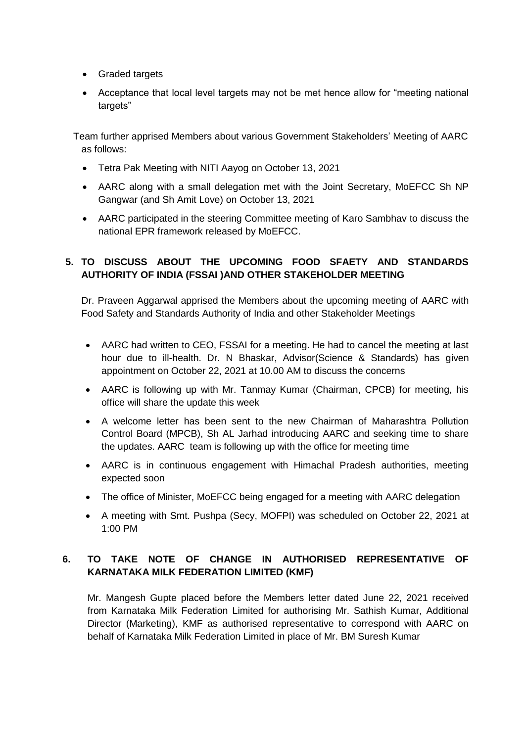- Graded targets
- Acceptance that local level targets may not be met hence allow for "meeting national targets"

 Team further apprised Members about various Government Stakeholders' Meeting of AARC as follows:

- Tetra Pak Meeting with NITI Aayog on October 13, 2021
- AARC along with a small delegation met with the Joint Secretary, MoEFCC Sh NP Gangwar (and Sh Amit Love) on October 13, 2021
- AARC participated in the steering Committee meeting of Karo Sambhav to discuss the national EPR framework released by MoEFCC.

## **5. TO DISCUSS ABOUT THE UPCOMING FOOD SFAETY AND STANDARDS AUTHORITY OF INDIA (FSSAI )AND OTHER STAKEHOLDER MEETING**

Dr. Praveen Aggarwal apprised the Members about the upcoming meeting of AARC with Food Safety and Standards Authority of India and other Stakeholder Meetings

- AARC had written to CEO, FSSAI for a meeting. He had to cancel the meeting at last hour due to ill-health. Dr. N Bhaskar, Advisor(Science & Standards) has given appointment on October 22, 2021 at 10.00 AM to discuss the concerns
- AARC is following up with Mr. Tanmay Kumar (Chairman, CPCB) for meeting, his office will share the update this week
- A welcome letter has been sent to the new Chairman of Maharashtra Pollution Control Board (MPCB), Sh AL Jarhad introducing AARC and seeking time to share the updates. AARC team is following up with the office for meeting time
- AARC is in continuous engagement with Himachal Pradesh authorities, meeting expected soon
- The office of Minister, MoEFCC being engaged for a meeting with AARC delegation
- A meeting with Smt. Pushpa (Secy, MOFPI) was scheduled on October 22, 2021 at 1:00 PM

# **6. TO TAKE NOTE OF CHANGE IN AUTHORISED REPRESENTATIVE OF KARNATAKA MILK FEDERATION LIMITED (KMF)**

Mr. Mangesh Gupte placed before the Members letter dated June 22, 2021 received from Karnataka Milk Federation Limited for authorising Mr. Sathish Kumar, Additional Director (Marketing), KMF as authorised representative to correspond with AARC on behalf of Karnataka Milk Federation Limited in place of Mr. BM Suresh Kumar